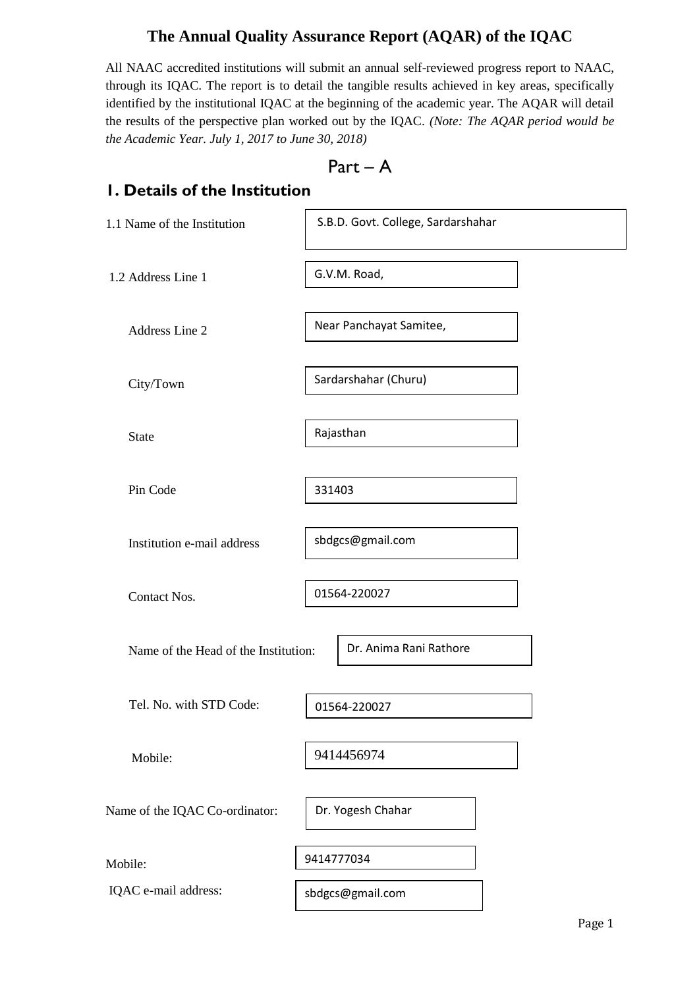## **The Annual Quality Assurance Report (AQAR) of the IQAC**

All NAAC accredited institutions will submit an annual self-reviewed progress report to NAAC, through its IQAC. The report is to detail the tangible results achieved in key areas, specifically identified by the institutional IQAC at the beginning of the academic year. The AQAR will detail the results of the perspective plan worked out by the IQAC. *(Note: The AQAR period would be the Academic Year. July 1, 2017 to June 30, 2018)*

$$
Part-A
$$

## **1. Details of the Institution**

| 1.1 Name of the Institution          | S.B.D. Govt. College, Sardarshahar |
|--------------------------------------|------------------------------------|
| 1.2 Address Line 1                   | G.V.M. Road,                       |
| Address Line 2                       | Near Panchayat Samitee,            |
| City/Town                            | Sardarshahar (Churu)               |
| <b>State</b>                         | Rajasthan                          |
| Pin Code                             | 331403                             |
| Institution e-mail address           | sbdgcs@gmail.com                   |
| Contact Nos.                         | 01564-220027                       |
| Name of the Head of the Institution: | Dr. Anima Rani Rathore             |
| Tel. No. with STD Code:              | 01564-220027                       |
| Mobile:                              | 9414456974                         |
| Name of the IQAC Co-ordinator:       | Dr. Yogesh Chahar                  |
| Mobile:                              | 9414777034                         |
| IQAC e-mail address:                 | sbdgcs@gmail.com                   |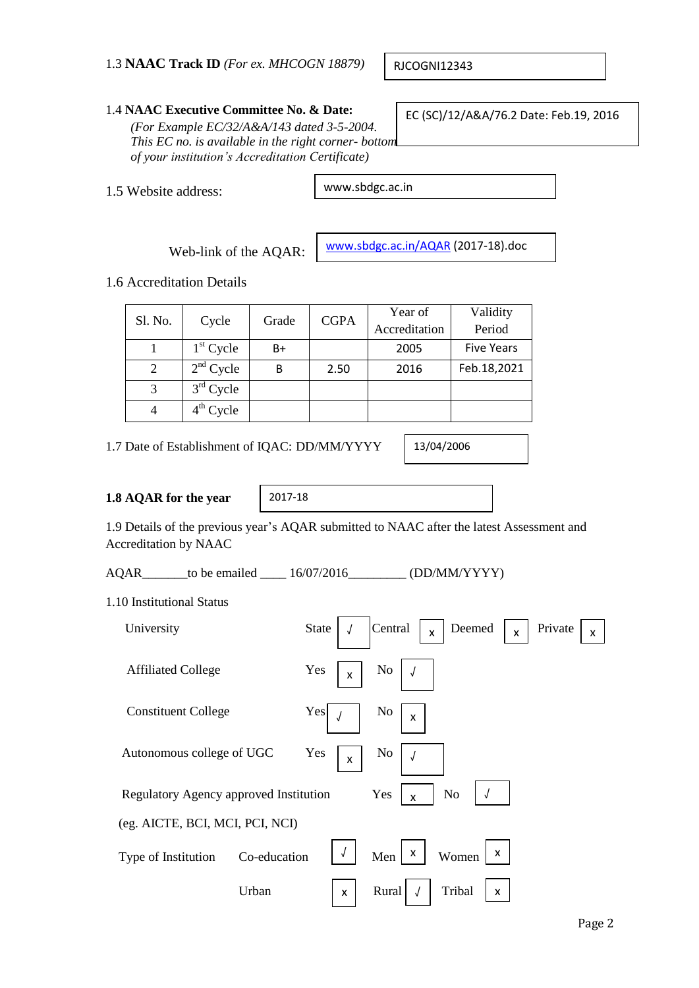RJCOGNI12343

## 1.4 **NAAC Executive Committee No. & Date:**

*(For Example EC/32/A&A/143 dated 3-5-2004. This EC no. is available in the right corner- bottom of your institution's Accreditation Certificate)*

1.5 Website address:

www.sbdgc.ac.in

Web-link of the AQAR:

[www.sbdgc.ac.in/AQAR](http://www.sbdgc.ac.in/AQAR) (2017-18).doc

1.6 Accreditation Details

|   | Sl. No.<br>Cycle<br>Grade |    | <b>CGPA</b> | Year of       | Validity          |
|---|---------------------------|----|-------------|---------------|-------------------|
|   |                           |    |             | Accreditation | Period            |
|   | $1st$ Cycle               | B+ |             | 2005          | <b>Five Years</b> |
| 2 | $2nd$ Cycle               | В  | 2.50        | 2016          | Feb.18,2021       |
| 3 | $3rd$ Cycle               |    |             |               |                   |
|   | $4^{\text{th}}$ Cycle     |    |             |               |                   |

1.7 Date of Establishment of IQAC: DD/MM/YYYY

13/04/2006

## **1.8 AQAR for the year**

2017-18

1.9 Details of the previous year's AQAR submitted to NAAC after the latest Assessment and Accreditation by NAAC

AQAR\_\_\_\_\_\_\_to be emailed \_\_\_\_\_ 16/07/2016 \_\_\_\_\_\_\_\_ (DD/MM/YYYY)

1.10 Institutional Status

| University                             | State<br>Central<br>Deemed<br>Private<br>$\mathsf{x}$<br>X<br>X |
|----------------------------------------|-----------------------------------------------------------------|
| <b>Affiliated College</b>              | Yes<br>N <sub>0</sub><br>X                                      |
| <b>Constituent College</b>             | Yes<br>No<br>$\pmb{\times}$                                     |
| Autonomous college of UGC              | Yes<br>No<br>$\mathsf{x}$                                       |
| Regulatory Agency approved Institution | N <sub>o</sub><br>Yes<br>$\mathsf{x}$                           |
| (eg. AICTE, BCI, MCI, PCI, NCI)        |                                                                 |
| Co-education<br>Type of Institution    | $\boldsymbol{\mathsf{x}}$<br>X<br>Men<br>Women                  |
| Urban                                  | Rural<br>Tribal<br>x<br>X                                       |

EC (SC)/12/A&A/76.2 Date: Feb.19, 2016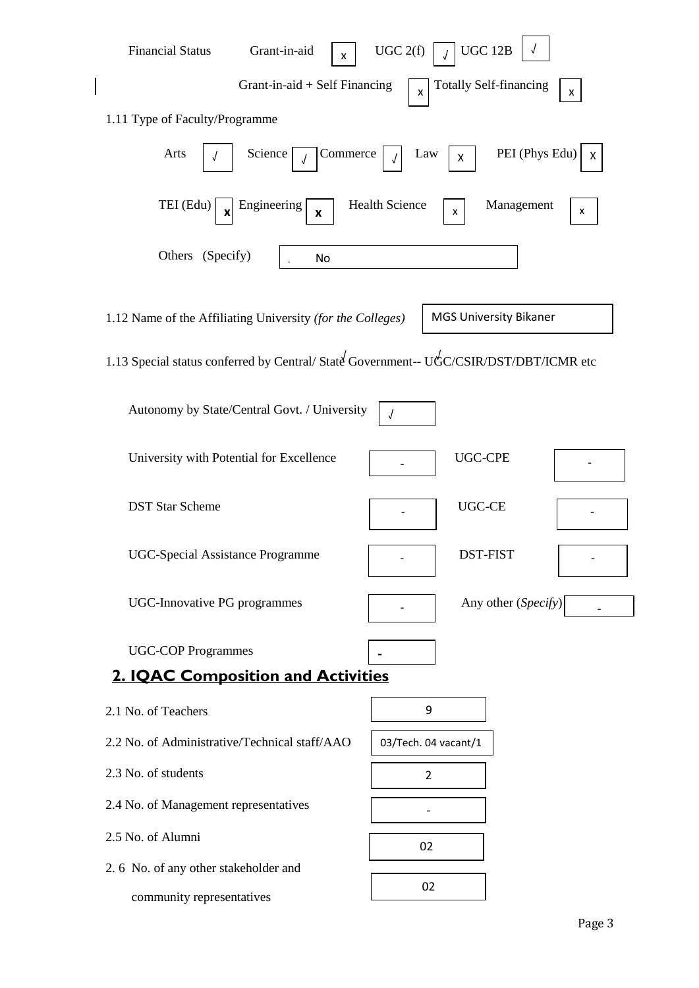| <b>Financial Status</b><br>Grant-in-aid<br>x                                          | UGC 12B<br>UGC 2(f)                                             |
|---------------------------------------------------------------------------------------|-----------------------------------------------------------------|
| Grant-in-aid $+$ Self Financing                                                       | <b>Totally Self-financing</b><br>$\mathsf{x}$<br>$\mathsf{X}^-$ |
| 1.11 Type of Faculty/Programme                                                        |                                                                 |
| Arts<br>Commerce<br>Science                                                           | PEI (Phys Edu)<br>Law<br>X<br>X                                 |
| TEI (Edu)<br>Engineering<br>X<br>x                                                    | <b>Health Science</b><br>Management<br>x<br>X                   |
| Others (Specify)<br>No                                                                |                                                                 |
| 1.12 Name of the Affiliating University (for the Colleges)                            | <b>MGS University Bikaner</b>                                   |
| 1.13 Special status conferred by Central/State Government-- UGC/CSIR/DST/DBT/ICMR etc |                                                                 |
| Autonomy by State/Central Govt. / University                                          | J                                                               |
| University with Potential for Excellence                                              | <b>UGC-CPE</b>                                                  |
| <b>DST Star Scheme</b>                                                                | <b>UGC-CE</b>                                                   |
| UGC-Special Assistance Programme                                                      | DST-FIST                                                        |
| <b>UGC-Innovative PG programmes</b>                                                   | Any other (Specify)                                             |
| <b>UGC-COP Programmes</b>                                                             |                                                                 |
| <b>2. IQAC Composition and Activities</b>                                             |                                                                 |
| 2.1 No. of Teachers                                                                   | 9                                                               |
| 2.2 No. of Administrative/Technical staff/AAO                                         | 03/Tech. 04 vacant/1                                            |
| 2.3 No. of students                                                                   | $\overline{2}$                                                  |
| 2.4 No. of Management representatives                                                 |                                                                 |
| 2.5 No. of Alumni                                                                     | 02                                                              |
| 2.6 No. of any other stakeholder and                                                  | 02                                                              |
| community representatives                                                             |                                                                 |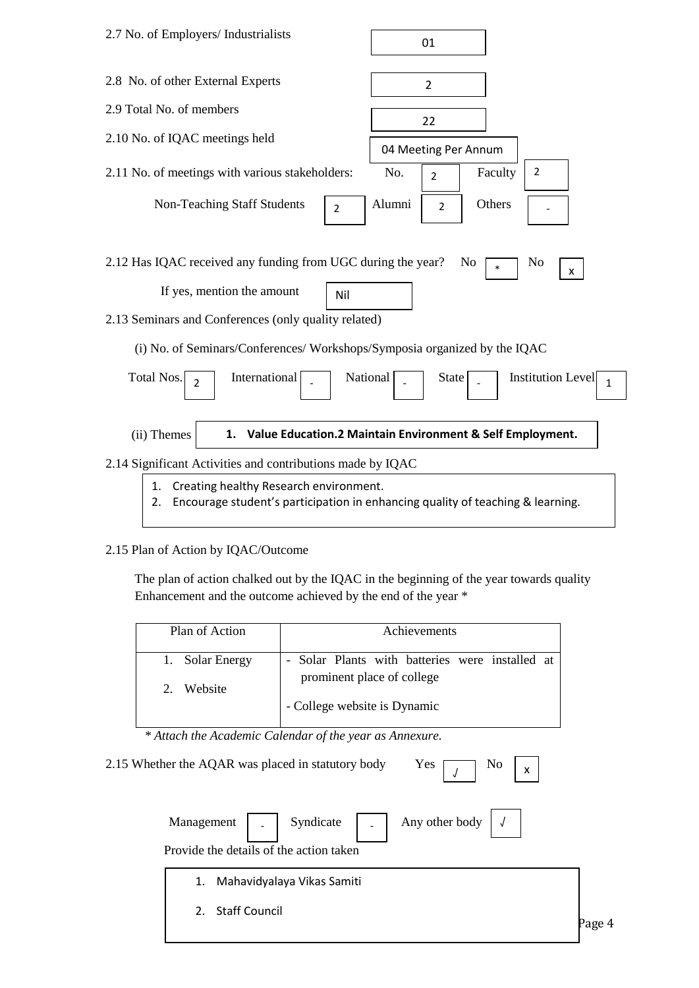| 2.7 No. of Employers/ Industrialists                                                                                                                                                                                                                                                    | 01                                                                             |
|-----------------------------------------------------------------------------------------------------------------------------------------------------------------------------------------------------------------------------------------------------------------------------------------|--------------------------------------------------------------------------------|
| 2.8 No. of other External Experts                                                                                                                                                                                                                                                       | $\overline{2}$                                                                 |
| 2.9 Total No. of members                                                                                                                                                                                                                                                                | 22                                                                             |
| 2.10 No. of IQAC meetings held                                                                                                                                                                                                                                                          | 04 Meeting Per Annum                                                           |
| 2.11 No. of meetings with various stakeholders:                                                                                                                                                                                                                                         | $\overline{2}$<br>No.<br>Faculty<br>$\overline{2}$                             |
| <b>Non-Teaching Staff Students</b><br>$\overline{2}$                                                                                                                                                                                                                                    | Alumni<br>Others<br>$\overline{2}$                                             |
| 2.12 Has IQAC received any funding from UGC during the year?<br>If yes, mention the amount<br>Nil<br>2.13 Seminars and Conferences (only quality related)<br>(i) No. of Seminars/Conferences/ Workshops/Symposia organized by the IQAC<br>International<br>Total Nos.<br>$\overline{2}$ | No<br>No<br>$\ast$<br>X<br>Institution Level<br>National<br><b>State</b><br>1  |
| (ii) Themes<br>1.                                                                                                                                                                                                                                                                       | Value Education.2 Maintain Environment & Self Employment.                      |
| 2.14 Significant Activities and contributions made by IQAC                                                                                                                                                                                                                              |                                                                                |
| Creating healthy Research environment.<br>1.<br>2.                                                                                                                                                                                                                                      | Encourage student's participation in enhancing quality of teaching & learning. |

## 2.15 Plan of Action by IQAC/Outcome

 The plan of action chalked out by the IQAC in the beginning of the year towards quality Enhancement and the outcome achieved by the end of the year \*

| Plan of Action                            | Achievements                                                                  |
|-------------------------------------------|-------------------------------------------------------------------------------|
| 1. Solar Energy<br>Website<br>$2^{\circ}$ | - Solar Plants with batteries were installed at<br>prominent place of college |
|                                           | - College website is Dynamic                                                  |

 *\* Attach the Academic Calendar of the year as Annexure.*

2.15 Whether the AQAR was placed in statutory body Yes  $\boxed{\phantom{a}}$  No

|                  |                                         | Management $\Big $ - Syndicate $\Big $ - Any other body $\Big $ J |  |
|------------------|-----------------------------------------|-------------------------------------------------------------------|--|
|                  | Provide the details of the action taken |                                                                   |  |
|                  | 1. Mahavidyalaya Vikas Samiti           |                                                                   |  |
| 2. Staff Council |                                         |                                                                   |  |
|                  |                                         |                                                                   |  |

√

x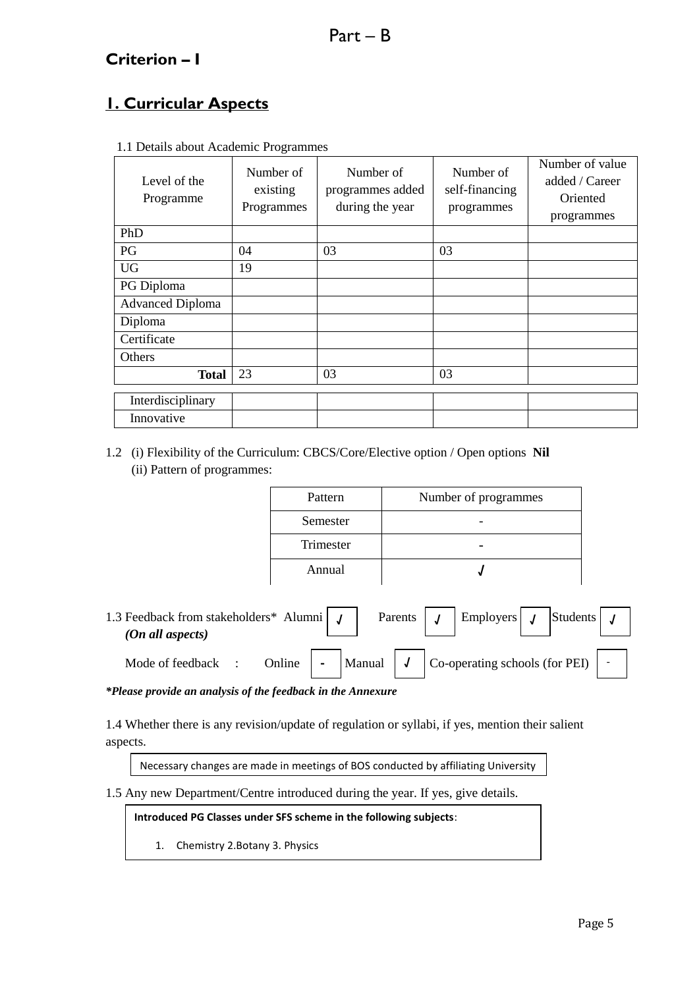# **Criterion – I**

# **1. Curricular Aspects**

| Level of the<br>Programme | Number of<br>existing<br>Programmes | Number of<br>programmes added<br>during the year | Number of<br>self-financing<br>programmes | Number of value<br>added / Career<br>Oriented<br>programmes |
|---------------------------|-------------------------------------|--------------------------------------------------|-------------------------------------------|-------------------------------------------------------------|
| PhD                       |                                     |                                                  |                                           |                                                             |
| PG                        | 04                                  | 03                                               | 03                                        |                                                             |
| <b>UG</b>                 | 19                                  |                                                  |                                           |                                                             |
| PG Diploma                |                                     |                                                  |                                           |                                                             |
| <b>Advanced Diploma</b>   |                                     |                                                  |                                           |                                                             |
| Diploma                   |                                     |                                                  |                                           |                                                             |
| Certificate               |                                     |                                                  |                                           |                                                             |
| Others                    |                                     |                                                  |                                           |                                                             |
| Total                     | 23                                  | 03                                               | 03                                        |                                                             |
| Interdisciplinary         |                                     |                                                  |                                           |                                                             |
| Innovative                |                                     |                                                  |                                           |                                                             |

1.1 Details about Academic Programmes

## 1.2 (i) Flexibility of the Curriculum: CBCS/Core/Elective option / Open options **Nil** (ii) Pattern of programmes:

| Pattern   | Number of programmes |
|-----------|----------------------|
| Semester  |                      |
| Trimester |                      |
| Annual    |                      |

| 1.3 Feedback from stakeholders* Alumni $\int J$<br>$(On \ all \ aspects)$                                               |  |  | Parents $\left  \int \right $ Employers $\left  \int \right $ Students $\left  \int \right $ |  |                    |
|-------------------------------------------------------------------------------------------------------------------------|--|--|----------------------------------------------------------------------------------------------|--|--------------------|
| Mode of feedback : Online $\boxed{\phantom{2}}$ Manual $\boxed{J}$ $\boxed{\phantom{2}}$ Co-operating schools (for PEI) |  |  |                                                                                              |  | $\mathbb{Z}^{n-1}$ |

*\*Please provide an analysis of the feedback in the Annexure*

1.4 Whether there is any revision/update of regulation or syllabi, if yes, mention their salient aspects.

Necessary changes are made in meetings of BOS conducted by affiliating University

1.5 Any new Department/Centre introduced during the year. If yes, give details.

**Introduced PG Classes under SFS scheme in the following subjects**:

1. Chemistry 2.Botany 3. Physics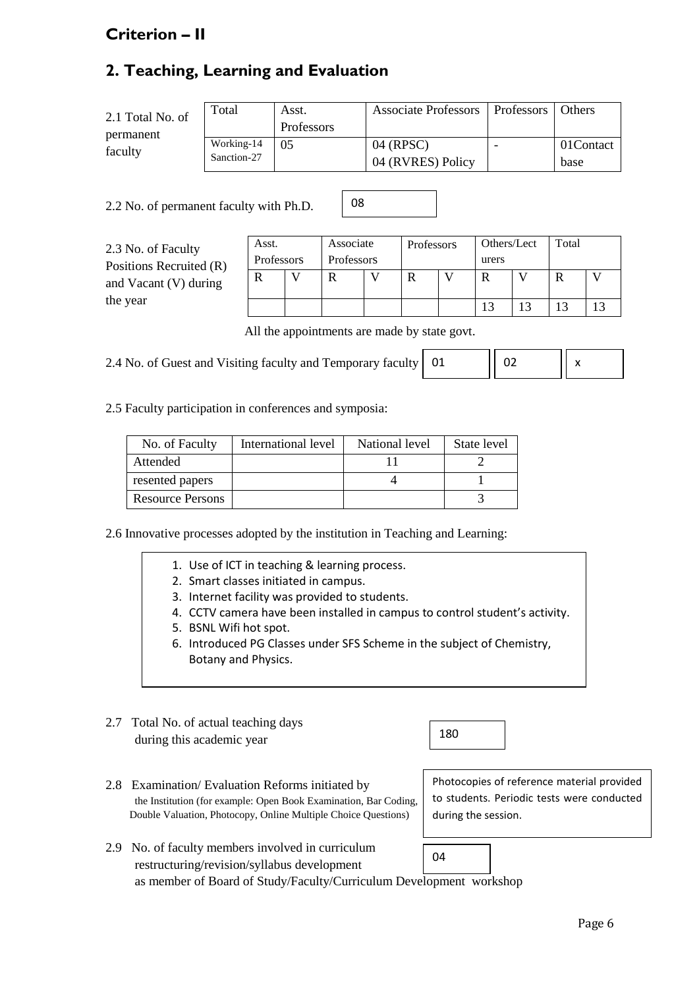# **Criterion – II**

# **2. Teaching, Learning and Evaluation**

| 2.1 Total No. of<br>permanent | Total                     | Asst.<br><b>Professors</b> | Associate Professors   Professors | <b>Others</b>      |
|-------------------------------|---------------------------|----------------------------|-----------------------------------|--------------------|
| faculty                       | Working-14<br>Sanction-27 | 0 <sub>5</sub>             | 04 (RPSC)<br>04 (RVRES) Policy    | 01 Contact<br>base |

08

2.2 No. of permanent faculty with Ph.D.

2.3 No. of Faculty Positions Recruited ( and Vacant (V) durin the year

|          | Asst.      | Associate  | Professors | Others/Lect | Total |  |
|----------|------------|------------|------------|-------------|-------|--|
| $\bf R)$ | Professors | Professors |            | urers       |       |  |
| ıg       | R          |            |            |             |       |  |
|          |            |            |            |             |       |  |

All the appointments are made by state govt.

| 2.4 No. of Guest and Visiting faculty and Temporary faculty   01 |  | $\parallel$ 02 |  |
|------------------------------------------------------------------|--|----------------|--|
|------------------------------------------------------------------|--|----------------|--|

2.5 Faculty participation in conferences and symposia:

| No. of Faculty          | International level | National level | State level |
|-------------------------|---------------------|----------------|-------------|
| Attended                |                     |                |             |
| resented papers         |                     |                |             |
| <b>Resource Persons</b> |                     |                |             |

2.6 Innovative processes adopted by the institution in Teaching and Learning:

- 1. Use of ICT in teaching & learning process.
- 2. Smart classes initiated in campus.
- 3. Internet facility was provided to students.
- 4. CCTV camera have been installed in campus to control student's activity.
- 5. BSNL Wifi hot spot.
- 6. Introduced PG Classes under SFS Scheme in the subject of Chemistry, Botany and Physics.
- 2.7 Total No. of actual teaching days during this academic year

2.8 Examination/ Evaluation Reforms initiated by the Institution (for example: Open Book Examination, Bar Coding, Double Valuation, Photocopy, Online Multiple Choice Questions)

Photocopies of reference material provided to students. Periodic tests were conducted during the session.

2.9 No. of faculty members involved in curriculum restructuring/revision/syllabus development as member of Board of Study/Faculty/Curriculum Development workshop 04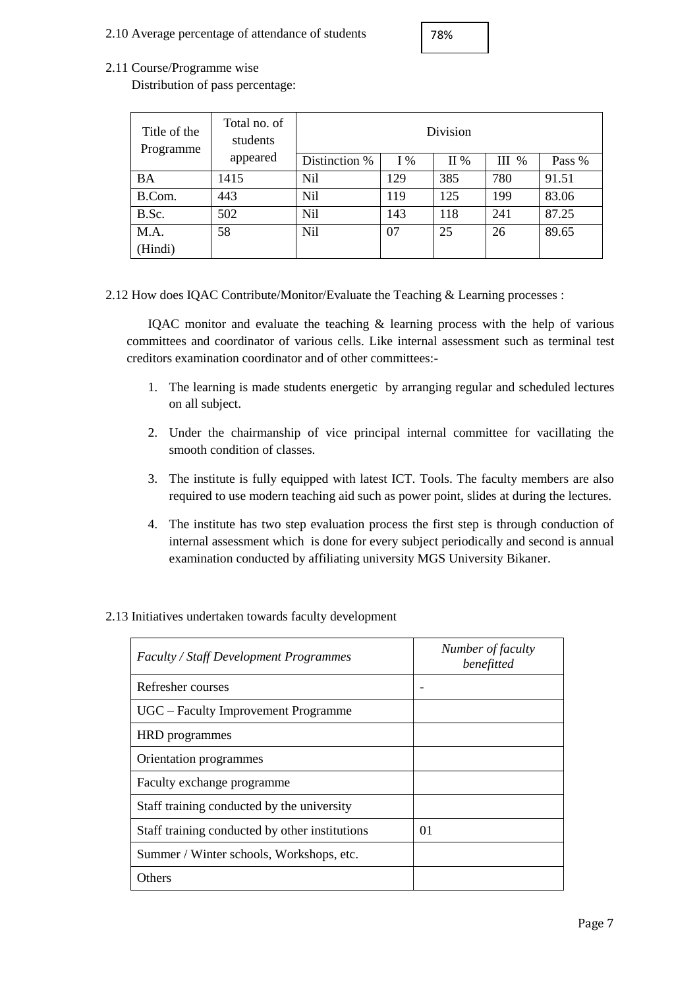2.10 Average percentage of attendance of students

| 78% |
|-----|
|-----|

## 2.11 Course/Programme wise

Distribution of pass percentage:

| Title of the<br>Programme | Total no. of<br>students | Division      |       |     |         |        |
|---------------------------|--------------------------|---------------|-------|-----|---------|--------|
|                           | appeared                 | Distinction % | $I\%$ | II% | $III$ % | Pass % |
| BA                        | 1415                     | Nil           | 129   | 385 | 780     | 91.51  |
| B.Com.                    | 443                      | Nil           | 119   | 125 | 199     | 83.06  |
| B.Sc.                     | 502                      | Nil           | 143   | 118 | 241     | 87.25  |
| M.A.                      | 58                       | Nil           | 07    | 25  | 26      | 89.65  |
| (Hindi)                   |                          |               |       |     |         |        |

2.12 How does IQAC Contribute/Monitor/Evaluate the Teaching & Learning processes :

IQAC monitor and evaluate the teaching & learning process with the help of various committees and coordinator of various cells. Like internal assessment such as terminal test creditors examination coordinator and of other committees:-

- 1. The learning is made students energetic by arranging regular and scheduled lectures on all subject.
- 2. Under the chairmanship of vice principal internal committee for vacillating the smooth condition of classes.
- 3. The institute is fully equipped with latest ICT. Tools. The faculty members are also required to use modern teaching aid such as power point, slides at during the lectures.
- 4. The institute has two step evaluation process the first step is through conduction of internal assessment which is done for every subject periodically and second is annual examination conducted by affiliating university MGS University Bikaner.

| <b>Faculty / Staff Development Programmes</b>  | Number of faculty<br>benefitted |
|------------------------------------------------|---------------------------------|
| Refresher courses                              |                                 |
| UGC – Faculty Improvement Programme            |                                 |
| HRD programmes                                 |                                 |
| Orientation programmes                         |                                 |
| Faculty exchange programme                     |                                 |
| Staff training conducted by the university     |                                 |
| Staff training conducted by other institutions | 01                              |
| Summer / Winter schools, Workshops, etc.       |                                 |
| Others                                         |                                 |

### 2.13 Initiatives undertaken towards faculty development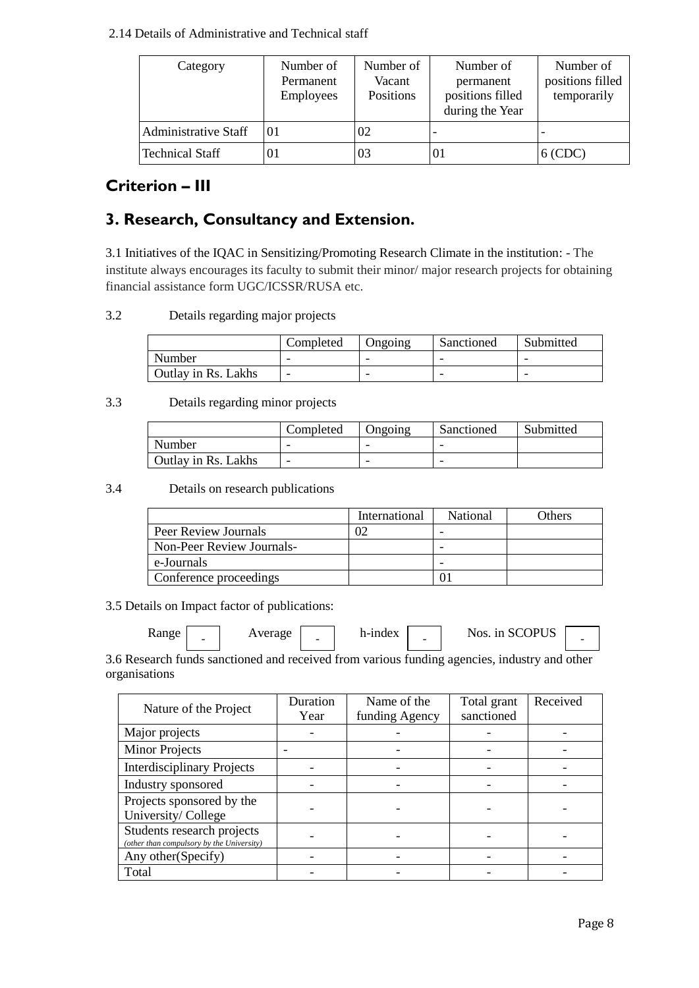### 2.14 Details of Administrative and Technical staff

| Category                    | Number of<br>Permanent<br>Employees | Number of<br>Vacant<br>Positions | Number of<br>permanent<br>positions filled<br>during the Year | Number of<br>positions filled<br>temporarily |
|-----------------------------|-------------------------------------|----------------------------------|---------------------------------------------------------------|----------------------------------------------|
| <b>Administrative Staff</b> | 0 <sub>1</sub>                      | 02                               |                                                               |                                              |
| <b>Technical Staff</b>      | 01                                  | 03                               | 01                                                            | $6$ (CDC)                                    |

## **Criterion – III**

# **3. Research, Consultancy and Extension.**

3.1 Initiatives of the IQAC in Sensitizing/Promoting Research Climate in the institution: - The institute always encourages its faculty to submit their minor/ major research projects for obtaining financial assistance form UGC/ICSSR/RUSA etc.

## 3.2 Details regarding major projects

|                            | Completed | Ongoing | Sanctioned | Submitted |
|----------------------------|-----------|---------|------------|-----------|
| Number                     |           | -       |            |           |
| <b>Outlay in Rs. Lakhs</b> | -         | -       |            |           |

## 3.3 Details regarding minor projects

|                     | Completed | Ongoing | Sanctioned | Submitted |
|---------------------|-----------|---------|------------|-----------|
| Number              |           |         | -          |           |
| Outlay in Rs. Lakhs |           |         | -          |           |

### 3.4 Details on research publications

|                           | International | National | Others |
|---------------------------|---------------|----------|--------|
| Peer Review Journals      |               |          |        |
| Non-Peer Review Journals- |               |          |        |
| e-Journals                |               |          |        |
| Conference proceedings    |               |          |        |

3.5 Details on Impact factor of publications:

| <b>Range</b> | - | verage | $\overline{\phantom{0}}$ | h-index | $\overline{\phantom{0}}$ | COPUS<br>Nos.<br>1n<br>NC. | ۰ |  |
|--------------|---|--------|--------------------------|---------|--------------------------|----------------------------|---|--|
|--------------|---|--------|--------------------------|---------|--------------------------|----------------------------|---|--|

3.6 Research funds sanctioned and received from various funding agencies, industry and other organisations

| Nature of the Project                                                   | Duration | Name of the    | Total grant | Received |
|-------------------------------------------------------------------------|----------|----------------|-------------|----------|
|                                                                         | Year     | funding Agency | sanctioned  |          |
| Major projects                                                          |          |                |             |          |
| <b>Minor Projects</b>                                                   |          |                |             |          |
| <b>Interdisciplinary Projects</b>                                       |          |                |             |          |
| Industry sponsored                                                      |          |                |             |          |
| Projects sponsored by the<br>University/College                         |          |                |             |          |
| Students research projects<br>(other than compulsory by the University) |          |                |             |          |
| Any other (Specify)                                                     |          |                |             |          |
| Total                                                                   |          |                |             |          |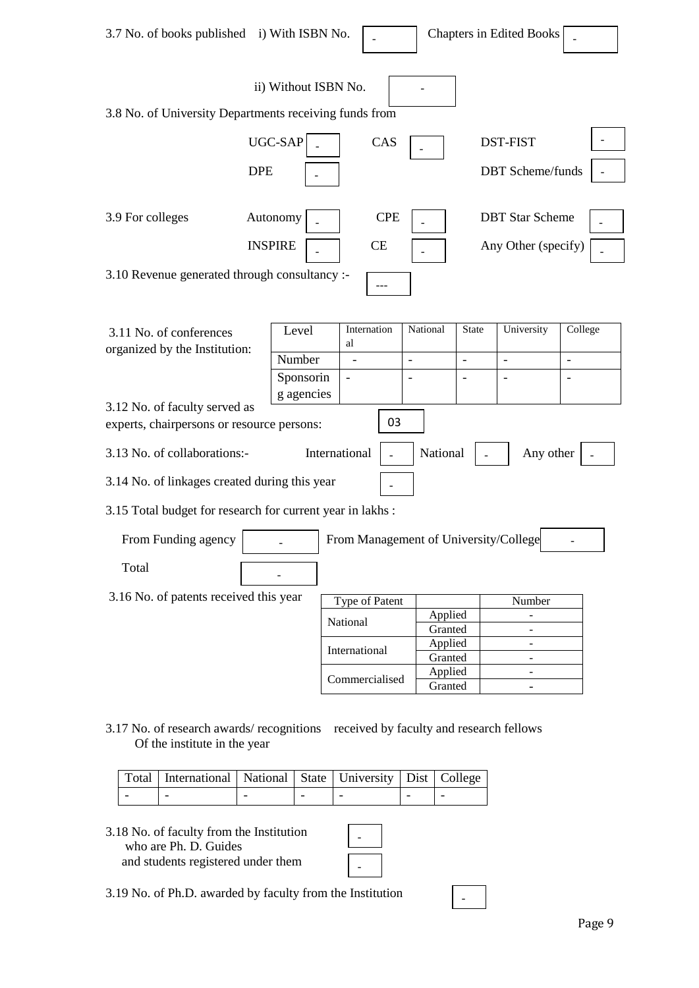| 3.7 No. of books published i) With ISBN No.                                 |                              |                                          |                          |                    |                                | <b>Chapters in Edited Books</b>               |                          |
|-----------------------------------------------------------------------------|------------------------------|------------------------------------------|--------------------------|--------------------|--------------------------------|-----------------------------------------------|--------------------------|
| 3.8 No. of University Departments receiving funds from                      | ii) Without ISBN No.         |                                          |                          |                    |                                |                                               |                          |
| <b>DPE</b>                                                                  | UGC-SAP                      |                                          | CAS                      |                    |                                | <b>DST-FIST</b><br><b>DBT</b> Scheme/funds    |                          |
| 3.9 For colleges                                                            | Autonomy<br><b>INSPIRE</b>   |                                          | <b>CPE</b><br>CE         |                    |                                | <b>DBT</b> Star Scheme<br>Any Other (specify) |                          |
| 3.10 Revenue generated through consultancy :-                               |                              |                                          |                          |                    |                                |                                               |                          |
| 3.11 No. of conferences<br>organized by the Institution:                    | Level<br>Number<br>Sponsorin | Internation<br>al                        | $\overline{\phantom{0}}$ | National           | <b>State</b><br>$\overline{a}$ | University<br>$\blacksquare$                  | College<br>$\frac{1}{2}$ |
| 3.12 No. of faculty served as<br>experts, chairpersons or resource persons: | g agencies                   |                                          | 03                       |                    |                                |                                               |                          |
| 3.13 No. of collaborations:-                                                |                              | International                            |                          | National           |                                | Any other                                     |                          |
| 3.14 No. of linkages created during this year                               |                              |                                          |                          |                    |                                |                                               |                          |
| 3.15 Total budget for research for current year in lakhs:                   |                              |                                          |                          |                    |                                |                                               |                          |
| From Funding agency<br>Total                                                |                              | From Management of University/College    |                          |                    |                                |                                               |                          |
| 3.16 No. of patents received this year                                      |                              | Type of Patent                           |                          |                    |                                | Number                                        |                          |
|                                                                             |                              | National                                 |                          | Applied<br>Granted |                                |                                               |                          |
|                                                                             |                              | International                            |                          | Applied<br>Granted |                                |                                               |                          |
|                                                                             |                              | Commercialised                           |                          | Applied<br>Granted |                                |                                               |                          |
| 3.17 No. of research awards/ recognitions<br>Of the institute in the year   |                              | received by faculty and research fellows |                          |                    |                                |                                               |                          |

| Total   International   National   State   University   Dist   College |  |  |  |
|------------------------------------------------------------------------|--|--|--|
|                                                                        |  |  |  |

3.18 No. of faculty from the Institution who are Ph. D. Guides and students registered under them

| - |  |
|---|--|
|   |  |
| - |  |

-

3.19 No. of Ph.D. awarded by faculty from the Institution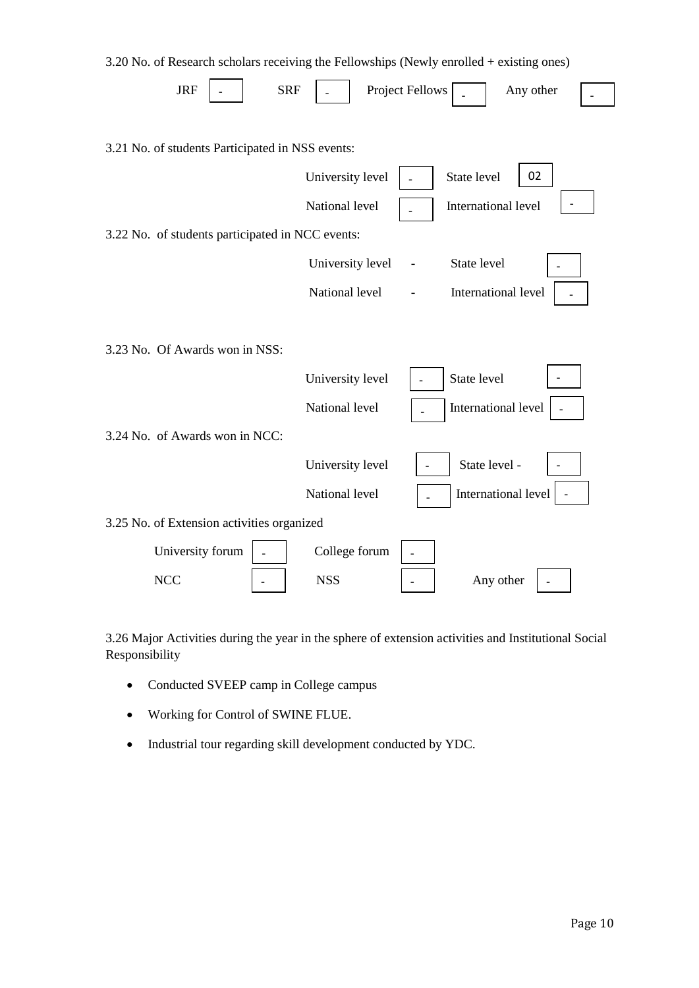| 3.20 No. of Research scholars receiving the Fellowships (Newly enrolled + existing ones) |                  |                              |
|------------------------------------------------------------------------------------------|------------------|------------------------------|
| <b>JRF</b><br><b>SRF</b>                                                                 |                  | Project Fellows<br>Any other |
| 3.21 No. of students Participated in NSS events:                                         |                  |                              |
|                                                                                          | University level | State level<br>02            |
|                                                                                          |                  |                              |
|                                                                                          | National level   | International level          |
| 3.22 No. of students participated in NCC events:                                         |                  |                              |
|                                                                                          | University level | State level                  |
|                                                                                          | National level   | International level          |
|                                                                                          |                  |                              |
| 3.23 No. Of Awards won in NSS:                                                           |                  |                              |
|                                                                                          | University level | State level                  |
|                                                                                          | National level   | International level          |
| 3.24 No. of Awards won in NCC:                                                           |                  |                              |
|                                                                                          | University level | State level -                |
|                                                                                          | National level   | International level          |
| 3.25 No. of Extension activities organized                                               |                  |                              |
| University forum                                                                         | College forum    |                              |
| <b>NCC</b>                                                                               | <b>NSS</b>       | Any other                    |

3.26 Major Activities during the year in the sphere of extension activities and Institutional Social Responsibility

- Conducted SVEEP camp in College campus
- Working for Control of SWINE FLUE.
- Industrial tour regarding skill development conducted by YDC.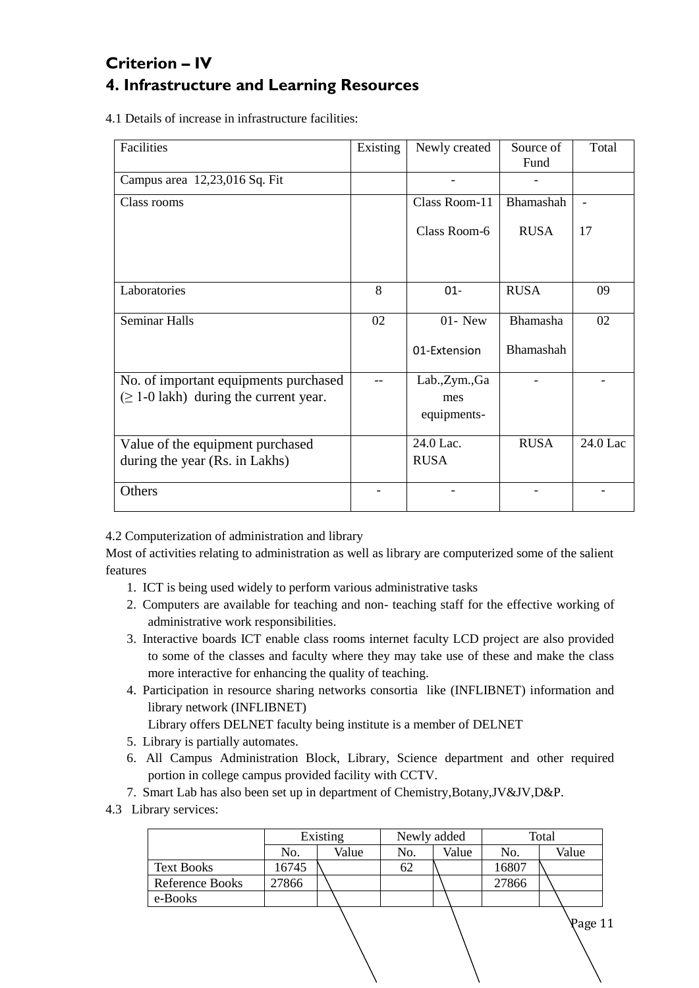# **Criterion – IV 4. Infrastructure and Learning Resources**

4.1 Details of increase in infrastructure facilities:

| Facilities                                  | Existing | Newly created  | Source of   | Total    |
|---------------------------------------------|----------|----------------|-------------|----------|
|                                             |          |                | Fund        |          |
| Campus area 12,23,016 Sq. Fit               |          |                |             |          |
| Class rooms                                 |          | Class Room-11  | Bhamashah   |          |
|                                             |          | Class Room-6   | <b>RUSA</b> | 17       |
|                                             |          |                |             |          |
| Laboratories                                | 8        | $01 -$         | <b>RUSA</b> | 09       |
| <b>Seminar Halls</b>                        | 02       | $01 - New$     | Bhamasha    | 02       |
|                                             |          | 01-Extension   | Bhamashah   |          |
| No. of important equipments purchased       |          | Lab., Zym., Ga |             |          |
| $(\geq 1$ -0 lakh) during the current year. |          | mes            |             |          |
|                                             |          | equipments-    |             |          |
| Value of the equipment purchased            |          | 24.0 Lac.      | <b>RUSA</b> | 24.0 Lac |
| during the year (Rs. in Lakhs)              |          | <b>RUSA</b>    |             |          |
| Others                                      |          |                |             |          |

4.2 Computerization of administration and library

Most of activities relating to administration as well as library are computerized some of the salient features

- 1. ICT is being used widely to perform various administrative tasks
- 2. Computers are available for teaching and non- teaching staff for the effective working of administrative work responsibilities.
- 3. Interactive boards ICT enable class rooms internet faculty LCD project are also provided to some of the classes and faculty where they may take use of these and make the class more interactive for enhancing the quality of teaching.
- 4. Participation in resource sharing networks consortia like (INFLIBNET) information and library network (INFLIBNET)

Library offers DELNET faculty being institute is a member of DELNET

- 5. Library is partially automates.
- 6. All Campus Administration Block, Library, Science department and other required portion in college campus provided facility with CCTV.
- 7. Smart Lab has also been set up in department of Chemistry,Botany,JV&JV,D&P.
- 4.3 Library services:

|                   |       | Existing |     | Newly added | Total |       |  |
|-------------------|-------|----------|-----|-------------|-------|-------|--|
|                   | No.   | Value    | No. | Value       | No.   | Value |  |
| <b>Text Books</b> | 16745 |          | 62  |             | 16807 |       |  |
| Reference Books   | 27866 |          |     |             | 27866 |       |  |
| e-Books           |       |          |     |             |       |       |  |
|                   |       |          |     |             |       | ∖Раσе |  |

age 11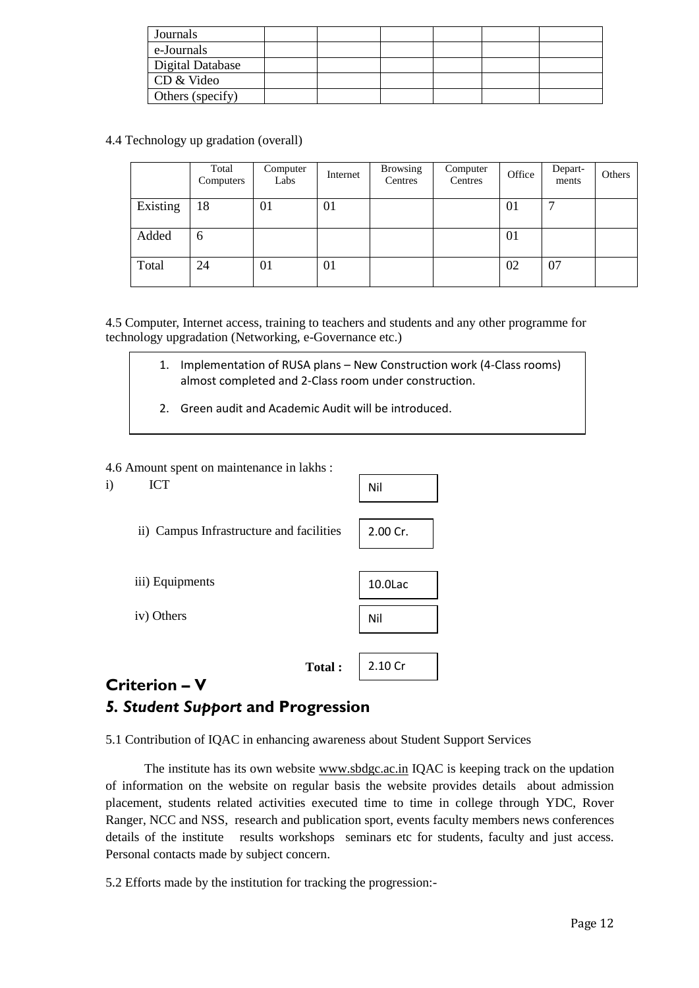| Journals         |  |  |  |
|------------------|--|--|--|
| e-Journals       |  |  |  |
| Digital Database |  |  |  |
| CD & Video       |  |  |  |
| Others (specify) |  |  |  |

4.4 Technology up gradation (overall)

|          | Total<br>Computers | Computer<br>Labs | Internet | <b>Browsing</b><br>Centres | Computer<br>Centres | Office | Depart-<br>ments | Others |
|----------|--------------------|------------------|----------|----------------------------|---------------------|--------|------------------|--------|
| Existing | 18                 | 01               | 01       |                            |                     | 01     |                  |        |
| Added    | 6                  |                  |          |                            |                     | 01     |                  |        |
| Total    | 24                 | 01               | 01       |                            |                     | 02     | 07               |        |

4.5 Computer, Internet access, training to teachers and students and any other programme for technology upgradation (Networking, e-Governance etc.)

- 1. Implementation of RUSA plans New Construction work (4-Class rooms) almost completed and 2-Class room under construction.
- 2. Green audit and Academic Audit will be introduced.

#### 4.6 Amount spent on maintenance in lakhs :

i) ICT ii) Campus Infrastructure and facilities iii) Equipments iv) Others **Total :**  Nil 2.00 Cr. 10.0Lac Nil 2.10 Cr

## **Criterion – V** *5. Student Support* **and Progression**

5.1 Contribution of IQAC in enhancing awareness about Student Support Services

The institute has its own website [www.sbdgc.ac.in](http://www.sbdgc.ac.in/) IQAC is keeping track on the updation of information on the website on regular basis the website provides details about admission placement, students related activities executed time to time in college through YDC, Rover Ranger, NCC and NSS, research and publication sport, events faculty members news conferences details of the institute results workshops seminars etc for students, faculty and just access. Personal contacts made by subject concern.

5.2 Efforts made by the institution for tracking the progression:-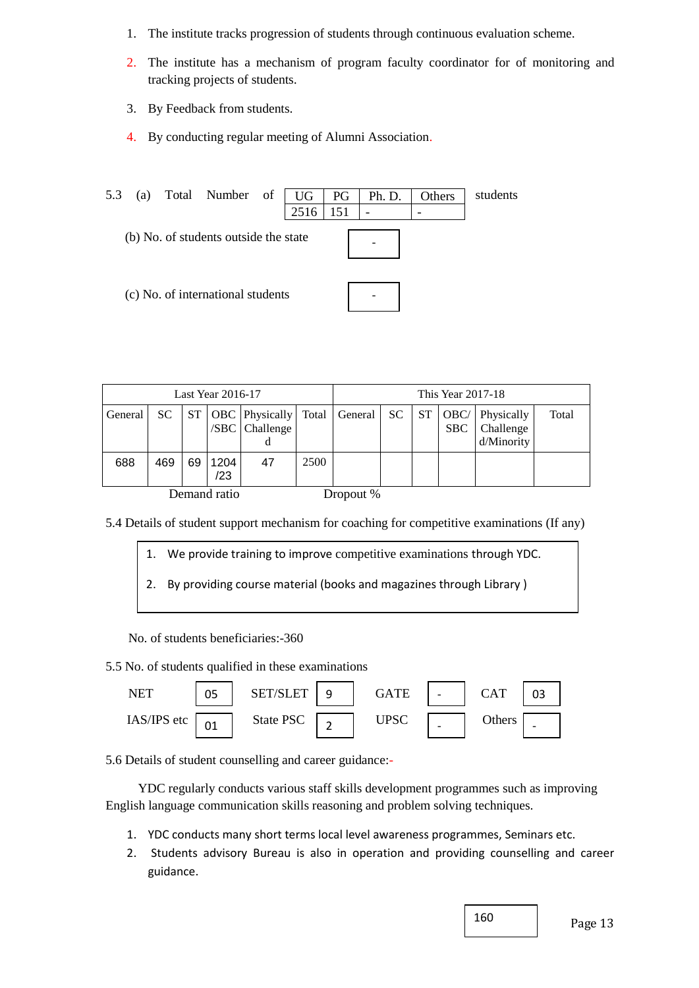- 1. The institute tracks progression of students through continuous evaluation scheme.
- 2. The institute has a mechanism of program faculty coordinator for of monitoring and tracking projects of students.
- 3. By Feedback from students.
- 4. By conducting regular meeting of Alumni Association.

| 5.3 | (a) | Total Number of                       | UG   | PG  | Ph. D. | Others | students |
|-----|-----|---------------------------------------|------|-----|--------|--------|----------|
|     |     |                                       | 2516 | 151 |        |        |          |
|     |     | (b) No. of students outside the state |      |     |        |        |          |
|     |     | (c) No. of international students     |      |     |        |        |          |

| Last Year 2016-17 |     |    |              | This Year 2017-18                                              |      |           |  |  |                                  |                                       |       |
|-------------------|-----|----|--------------|----------------------------------------------------------------|------|-----------|--|--|----------------------------------|---------------------------------------|-------|
| General           | SC. |    |              | ST   OBC   Physically   Total   General  <br>$ SBC $ Challenge |      |           |  |  | $SC$   $ST$   OBC/<br><b>SBC</b> | Physically<br>Challenge<br>d/Minority | Total |
| 688               | 469 | 69 | 1204<br>/23  | 47                                                             | 2500 |           |  |  |                                  |                                       |       |
|                   |     |    | Demand ratio |                                                                |      | Dropout % |  |  |                                  |                                       |       |

5.4 Details of student support mechanism for coaching for competitive examinations (If any)

- 1. We provide training to improve competitive examinations through YDC.
- 2. By providing course material (books and magazines through Library )

No. of students beneficiaries:-360

5.5 No. of students qualified in these examinations



5.6 Details of student counselling and career guidance:-

 YDC regularly conducts various staff skills development programmes such as improving English language communication skills reasoning and problem solving techniques.

- 1. YDC conducts many short terms local level awareness programmes, Seminars etc.
- 2. Students advisory Bureau is also in operation and providing counselling and career guidance.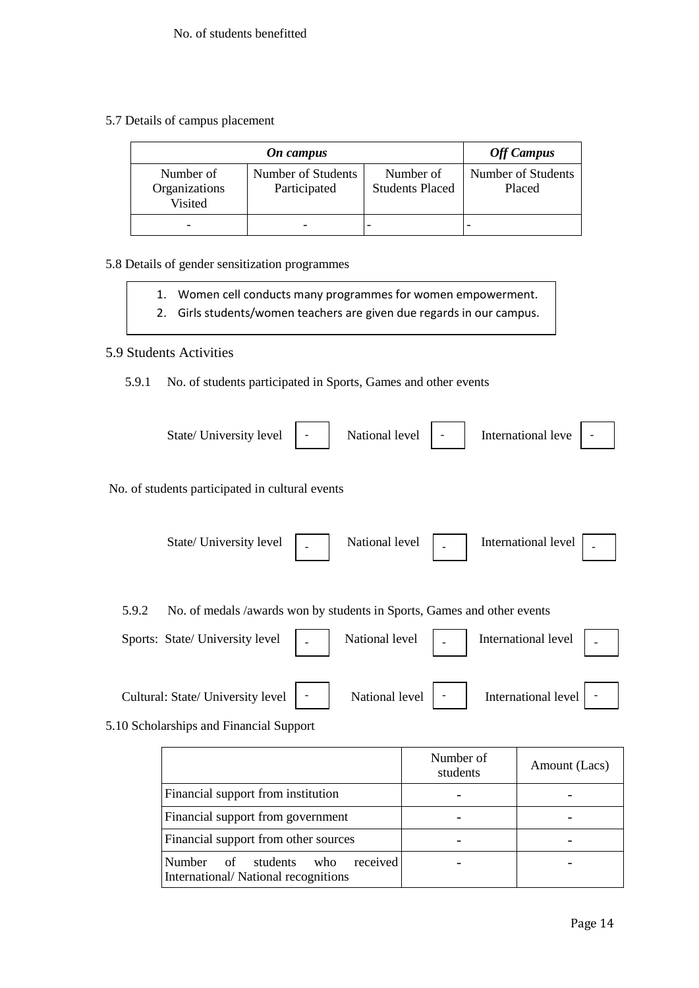5.7 Details of campus placement

|                                       | <b>Off Campus</b>                  |                                     |                              |
|---------------------------------------|------------------------------------|-------------------------------------|------------------------------|
| Number of<br>Organizations<br>Visited | Number of Students<br>Participated | Number of<br><b>Students Placed</b> | Number of Students<br>Placed |
|                                       |                                    |                                     |                              |

## 5.8 Details of gender sensitization programmes

- 1. Women cell conducts many programmes for women empowerment.
- 2. Girls students/women teachers are given due regards in our campus.

### 5.9 Students Activities

5.9.1 No. of students participated in Sports, Games and other events

|       | State/University level  -                                               | National level           | International leve   - |  |
|-------|-------------------------------------------------------------------------|--------------------------|------------------------|--|
|       | No. of students participated in cultural events                         |                          |                        |  |
|       | State/University level $\Big $ .                                        | National level $\vert$ - | International level    |  |
| 5.9.2 | No. of medals /awards won by students in Sports, Games and other events |                          |                        |  |

| Sports: State/University level   National level   National level   National level   National level   National level   National level   National level   National level   National level   National level   National level   Na |                          |                     |  |
|--------------------------------------------------------------------------------------------------------------------------------------------------------------------------------------------------------------------------------|--------------------------|---------------------|--|
| Cultural: State/ University level   -                                                                                                                                                                                          | National level $\vert$ - | International level |  |

5.10 Scholarships and Financial Support

|                                                                                           | Number of<br>students | Amount (Lacs) |
|-------------------------------------------------------------------------------------------|-----------------------|---------------|
| Financial support from institution                                                        |                       |               |
| Financial support from government                                                         |                       |               |
| Financial support from other sources                                                      |                       |               |
| received<br><b>Number</b><br>students<br>of<br>who<br>International/National recognitions |                       |               |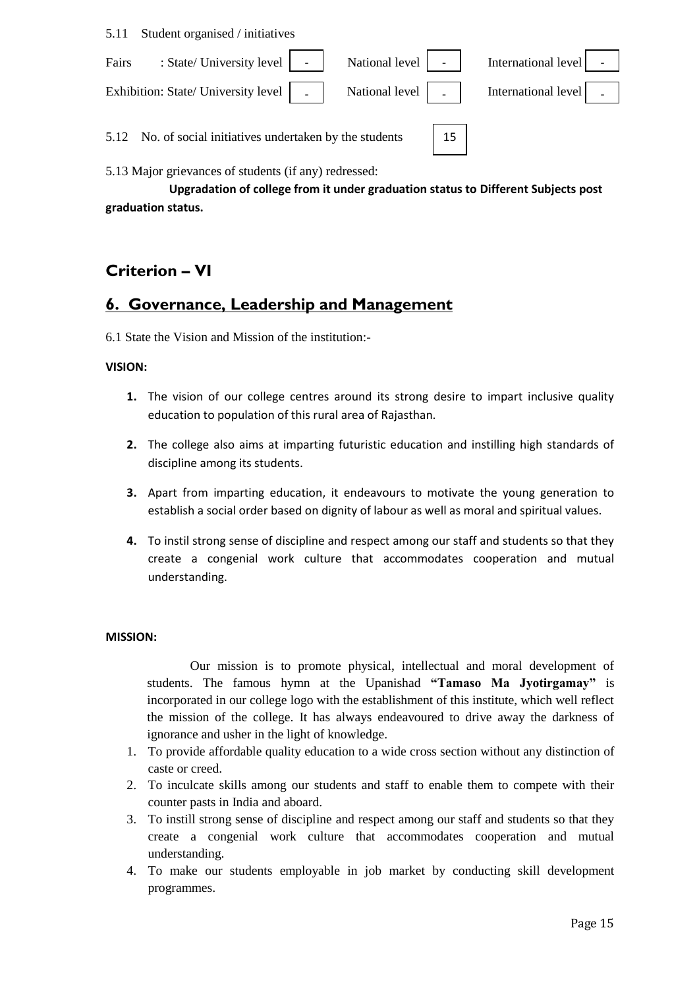5.11 Student organised / initiatives

| : State/ University level   -   National level   -  <br>Fairs                          | International level $\vert$ - $\vert$ |  |
|----------------------------------------------------------------------------------------|---------------------------------------|--|
| Exhibition: State/ University level   .   National level   .   International level   . |                                       |  |
| 5.12 No. of social initiatives undertaken by the students                              | 15                                    |  |

5.13 Major grievances of students (if any) redressed:

**Upgradation of college from it under graduation status to Different Subjects post graduation status.**

## **Criterion – VI**

## **6. Governance, Leadership and Management**

6.1 State the Vision and Mission of the institution:-

#### **VISION:**

- **1.** The vision of our college centres around its strong desire to impart inclusive quality education to population of this rural area of Rajasthan.
- **2.** The college also aims at imparting futuristic education and instilling high standards of discipline among its students.
- **3.** Apart from imparting education, it endeavours to motivate the young generation to establish a social order based on dignity of labour as well as moral and spiritual values.
- **4.** To instil strong sense of discipline and respect among our staff and students so that they create a congenial work culture that accommodates cooperation and mutual understanding.

#### **MISSION:**

Our mission is to promote physical, intellectual and moral development of students. The famous hymn at the Upanishad **"Tamaso Ma Jyotirgamay"** is incorporated in our college logo with the establishment of this institute, which well reflect the mission of the college. It has always endeavoured to drive away the darkness of ignorance and usher in the light of knowledge.

- 1. To provide affordable quality education to a wide cross section without any distinction of caste or creed.
- 2. To inculcate skills among our students and staff to enable them to compete with their counter pasts in India and aboard.
- 3. To instill strong sense of discipline and respect among our staff and students so that they create a congenial work culture that accommodates cooperation and mutual understanding.
- 4. To make our students employable in job market by conducting skill development programmes.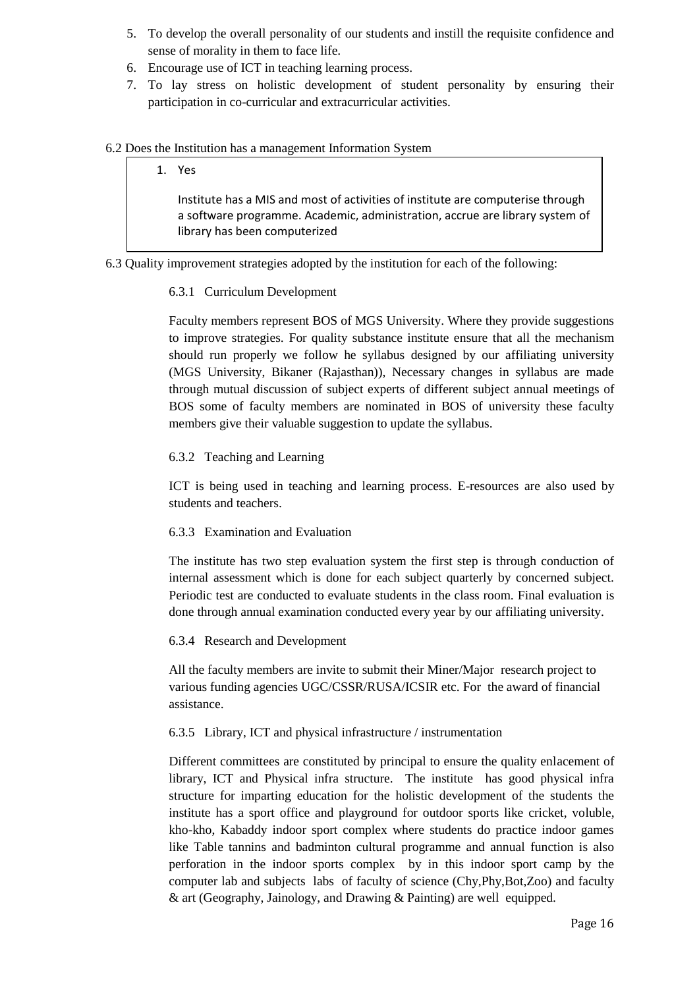- 5. To develop the overall personality of our students and instill the requisite confidence and sense of morality in them to face life.
- 6. Encourage use of ICT in teaching learning process.
- 7. To lay stress on holistic development of student personality by ensuring their participation in co-curricular and extracurricular activities.

### 6.2 Does the Institution has a management Information System

## 1. Yes Institute has a MIS and most of activities of institute are computerise through a software programme. Academic, administration, accrue are library system of library has been computerized

6.3 Quality improvement strategies adopted by the institution for each of the following:

### 6.3.1 Curriculum Development

Faculty members represent BOS of MGS University. Where they provide suggestions to improve strategies. For quality substance institute ensure that all the mechanism should run properly we follow he syllabus designed by our affiliating university (MGS University, Bikaner (Rajasthan)), Necessary changes in syllabus are made through mutual discussion of subject experts of different subject annual meetings of BOS some of faculty members are nominated in BOS of university these faculty members give their valuable suggestion to update the syllabus.

### 6.3.2 Teaching and Learning

ICT is being used in teaching and learning process. E-resources are also used by students and teachers.

#### 6.3.3 Examination and Evaluation

The institute has two step evaluation system the first step is through conduction of internal assessment which is done for each subject quarterly by concerned subject. Periodic test are conducted to evaluate students in the class room. Final evaluation is done through annual examination conducted every year by our affiliating university.

#### 6.3.4 Research and Development

All the faculty members are invite to submit their Miner/Major research project to various funding agencies UGC/CSSR/RUSA/ICSIR etc. For the award of financial assistance.

### 6.3.5 Library, ICT and physical infrastructure / instrumentation

Different committees are constituted by principal to ensure the quality enlacement of library, ICT and Physical infra structure. The institute has good physical infra structure for imparting education for the holistic development of the students the institute has a sport office and playground for outdoor sports like cricket, voluble, kho-kho, Kabaddy indoor sport complex where students do practice indoor games like Table tannins and badminton cultural programme and annual function is also perforation in the indoor sports complex by in this indoor sport camp by the computer lab and subjects labs of faculty of science (Chy,Phy,Bot,Zoo) and faculty & art (Geography, Jainology, and Drawing & Painting) are well equipped.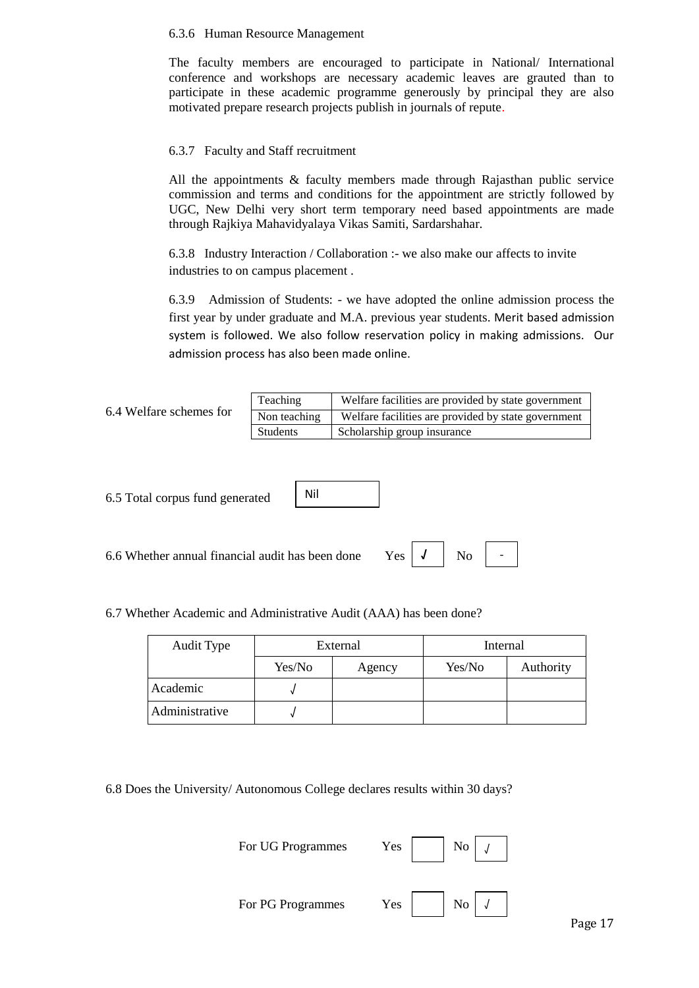#### 6.3.6 Human Resource Management

The faculty members are encouraged to participate in National/ International conference and workshops are necessary academic leaves are grauted than to participate in these academic programme generously by principal they are also motivated prepare research projects publish in journals of repute.

#### 6.3.7 Faculty and Staff recruitment

All the appointments & faculty members made through Rajasthan public service commission and terms and conditions for the appointment are strictly followed by UGC, New Delhi very short term temporary need based appointments are made through Rajkiya Mahavidyalaya Vikas Samiti, Sardarshahar.

6.3.8 Industry Interaction / Collaboration :- we also make our affects to invite industries to on campus placement .

6.3.9 Admission of Students: - we have adopted the online admission process the first year by under graduate and M.A. previous year students. Merit based admission system is followed. We also follow reservation policy in making admissions. Our admission process has also been made online.

| 6.4 Welfare schemes for | Teaching     | Welfare facilities are provided by state government |
|-------------------------|--------------|-----------------------------------------------------|
|                         | Non teaching | Welfare facilities are provided by state government |
|                         | Students     | Scholarship group insurance                         |

6.5 Total corpus fund generated

6.6 Whether annual financial audit has been done Yes

6.7 Whether Academic and Administrative Audit (AAA) has been done?

Nil

| Audit Type     |        | External | Internal |           |
|----------------|--------|----------|----------|-----------|
|                | Yes/No | Agency   | Yes/No   | Authority |
| Academic       |        |          |          |           |
| Administrative |        |          |          |           |

6.8 Does the University/ Autonomous College declares results within 30 days?

| For UG Programmes | Yes |                    | No |  |
|-------------------|-----|--------------------|----|--|
| For PG Programmes | Yes | $\overline{N_{O}}$ |    |  |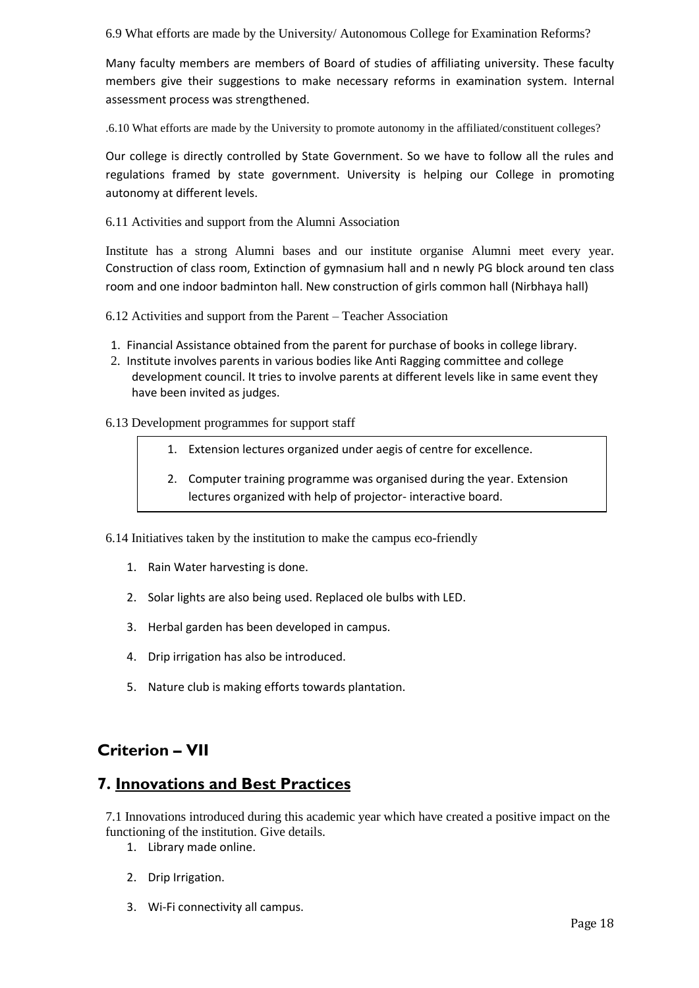6.9 What efforts are made by the University/ Autonomous College for Examination Reforms?

Many faculty members are members of Board of studies of affiliating university. These faculty members give their suggestions to make necessary reforms in examination system. Internal assessment process was strengthened.

.6.10 What efforts are made by the University to promote autonomy in the affiliated/constituent colleges?

Our college is directly controlled by State Government. So we have to follow all the rules and regulations framed by state government. University is helping our College in promoting autonomy at different levels.

6.11 Activities and support from the Alumni Association

Institute has a strong Alumni bases and our institute organise Alumni meet every year. Construction of class room, Extinction of gymnasium hall and n newly PG block around ten class room and one indoor badminton hall. New construction of girls common hall (Nirbhaya hall)

- 6.12 Activities and support from the Parent Teacher Association
- 1. Financial Assistance obtained from the parent for purchase of books in college library.
- 2. Institute involves parents in various bodies like Anti Ragging committee and college development council. It tries to involve parents at different levels like in same event they have been invited as judges.

#### 6.13 Development programmes for support staff

- 1. Extension lectures organized under aegis of centre for excellence.
- 2. Computer training programme was organised during the year. Extension lectures organized with help of projector- interactive board.

6.14 Initiatives taken by the institution to make the campus eco-friendly

- 1. Rain Water harvesting is done.
- 2. Solar lights are also being used. Replaced ole bulbs with LED.
- 3. Herbal garden has been developed in campus.
- 4. Drip irrigation has also be introduced.
- 5. Nature club is making efforts towards plantation.

## **Criterion – VII**

## **7. Innovations and Best Practices**

7.1 Innovations introduced during this academic year which have created a positive impact on the functioning of the institution. Give details.

- 1. Library made online.
- 2. Drip Irrigation.
- 3. Wi-Fi connectivity all campus.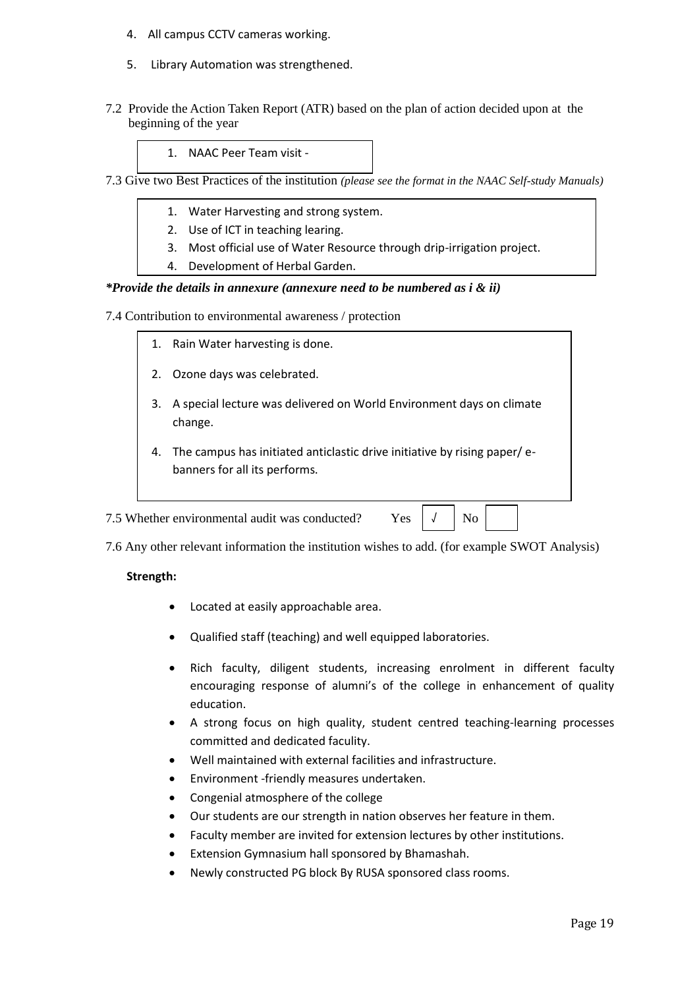- 4. All campus CCTV cameras working.
- 5. Library Automation was strengthened.
- 7.2 Provide the Action Taken Report (ATR) based on the plan of action decided upon at the beginning of the year

1. NAAC Peer Team visit -

- 7.3 Give two Best Practices of the institution *(please see the format in the NAAC Self-study Manuals)*
	- 1. Water Harvesting and strong system.
	- 2. Use of ICT in teaching learing.
	- 3. Most official use of Water Resource through drip-irrigation project.
	- 4. Development of Herbal Garden.

#### *\*Provide the details in annexure (annexure need to be numbered as i & ii)*

7.4 Contribution to environmental awareness / protection

- 1. Rain Water harvesting is done.
- 2. Ozone days was celebrated.
- 3. A special lecture was delivered on World Environment days on climate change.
- 4. The campus has initiated anticlastic drive initiative by rising paper/ ebanners for all its performs.

7.5 Whether environmental audit was conducted? Yes  $\vert \downarrow \vert$  No

√

7.6 Any other relevant information the institution wishes to add. (for example SWOT Analysis)

#### **Strength:**

- Located at easily approachable area.
- Qualified staff (teaching) and well equipped laboratories.
- Rich faculty, diligent students, increasing enrolment in different faculty encouraging response of alumni's of the college in enhancement of quality education.
- A strong focus on high quality, student centred teaching-learning processes committed and dedicated faculity.
- Well maintained with external facilities and infrastructure.
- Environment -friendly measures undertaken.
- Congenial atmosphere of the college
- Our students are our strength in nation observes her feature in them.
- Faculty member are invited for extension lectures by other institutions.
- Extension Gymnasium hall sponsored by Bhamashah.
- Newly constructed PG block By RUSA sponsored class rooms.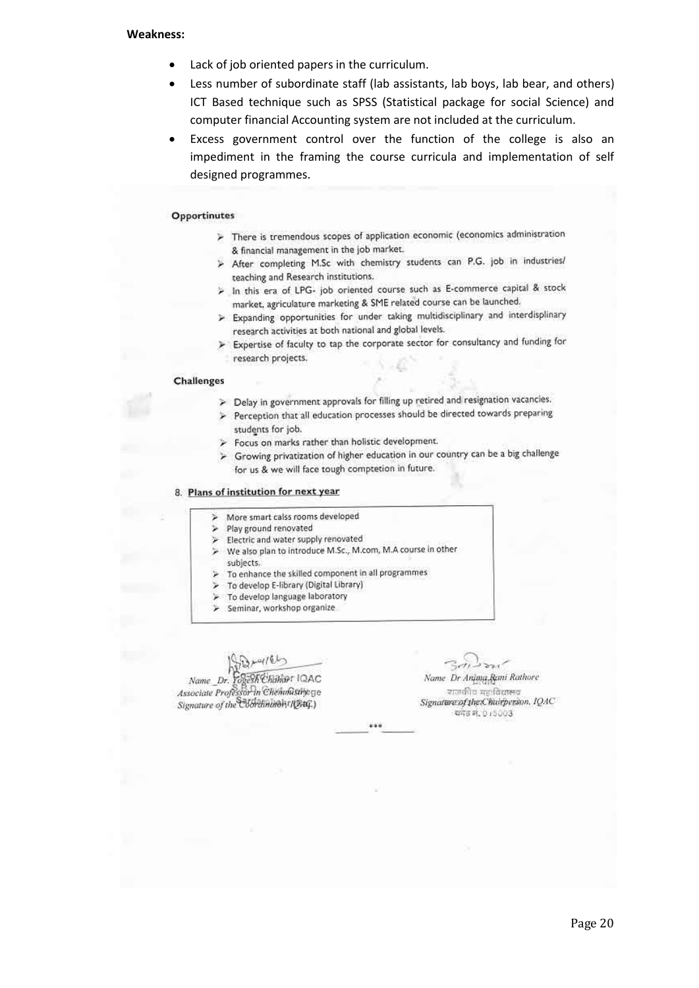#### **Weakness:**

- Lack of job oriented papers in the curriculum.
- Less number of subordinate staff (lab assistants, lab boys, lab bear, and others) ICT Based technique such as SPSS (Statistical package for social Science) and computer financial Accounting system are not included at the curriculum.
- Excess government control over the function of the college is also an impediment in the framing the course curricula and implementation of self designed programmes.

#### Opportinutes

- $\triangleright$  There is tremendous scopes of application economic (economics administration & financial management in the job market.
- > After completing M.Sc with chemistry students can P.G. job in industries/ teaching and Research institutions.
- > In this era of LPG- job oriented course such as E-commerce capital & stock market, agriculature marketing & SME related course can be launched.
- > Expanding opportunities for under taking multidisciplinary and interdisplinary research activities at both national and global levels.
- > Expertise of faculty to tap the corporate sector for consultancy and funding for research projects.

#### **Challenges**

- > Delay in government approvals for filling up retired and resignation vacancies.
- > Perception that all education processes should be directed towards preparing students for job.
- Focus on marks rather than holistic development.
- > Growing privatization of higher education in our country can be a big challenge for us & we will face tough comptetion in future.

#### 8. Plans of institution for next year

- Þ More smart calss rooms developed
- Play ground renovated
- Electric and water supply renovated
- We also plan to introduce M.Sc., M.com, M.A course in other subjects.
- To enhance the skilled component in all programmes
- To develop E-library (Digital Library)
- To develop language laboratory  $\geqslant$
- > Seminar, workshop organize

Name Dr. Fogesh Chanar IQAC Associate Professor In Chemmustinge Signature of the Coloraninoh (1944)

Name Dr Anjung Rami Rathore राजकीय महाविद्यालय Signature of the Chairperson, IQAC कांड न, 015003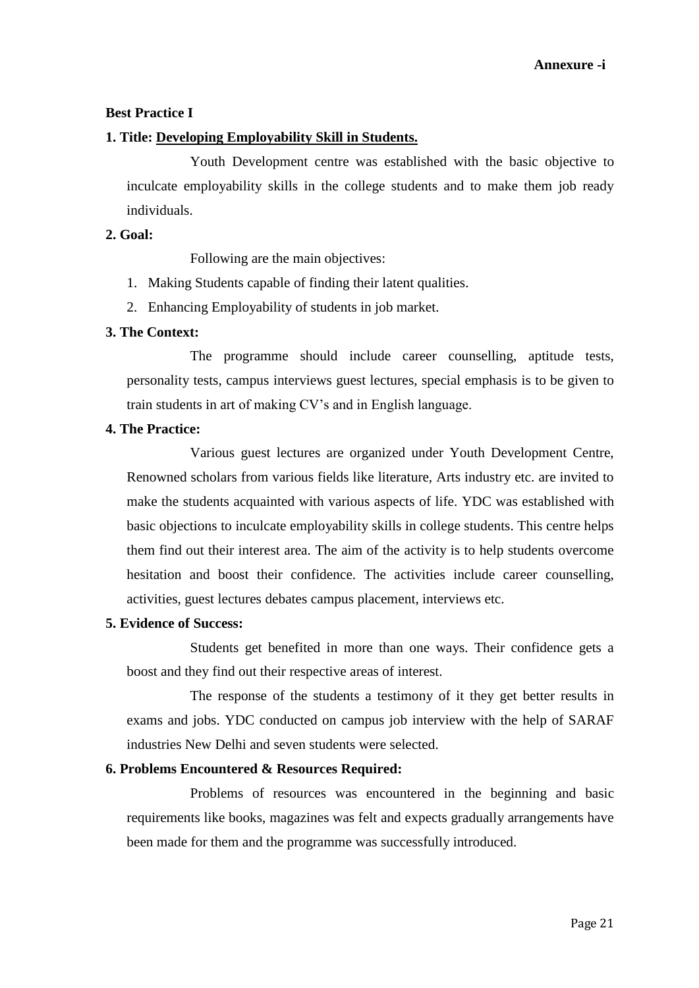### **Best Practice I**

#### **1. Title: Developing Employability Skill in Students.**

Youth Development centre was established with the basic objective to inculcate employability skills in the college students and to make them job ready individuals.

#### **2. Goal:**

Following are the main objectives:

- 1. Making Students capable of finding their latent qualities.
- 2. Enhancing Employability of students in job market.

### **3. The Context:**

The programme should include career counselling, aptitude tests, personality tests, campus interviews guest lectures, special emphasis is to be given to train students in art of making CV's and in English language.

#### **4. The Practice:**

Various guest lectures are organized under Youth Development Centre, Renowned scholars from various fields like literature, Arts industry etc. are invited to make the students acquainted with various aspects of life. YDC was established with basic objections to inculcate employability skills in college students. This centre helps them find out their interest area. The aim of the activity is to help students overcome hesitation and boost their confidence. The activities include career counselling, activities, guest lectures debates campus placement, interviews etc.

### **5. Evidence of Success:**

Students get benefited in more than one ways. Their confidence gets a boost and they find out their respective areas of interest.

The response of the students a testimony of it they get better results in exams and jobs. YDC conducted on campus job interview with the help of SARAF industries New Delhi and seven students were selected.

### **6. Problems Encountered & Resources Required:**

Problems of resources was encountered in the beginning and basic requirements like books, magazines was felt and expects gradually arrangements have been made for them and the programme was successfully introduced.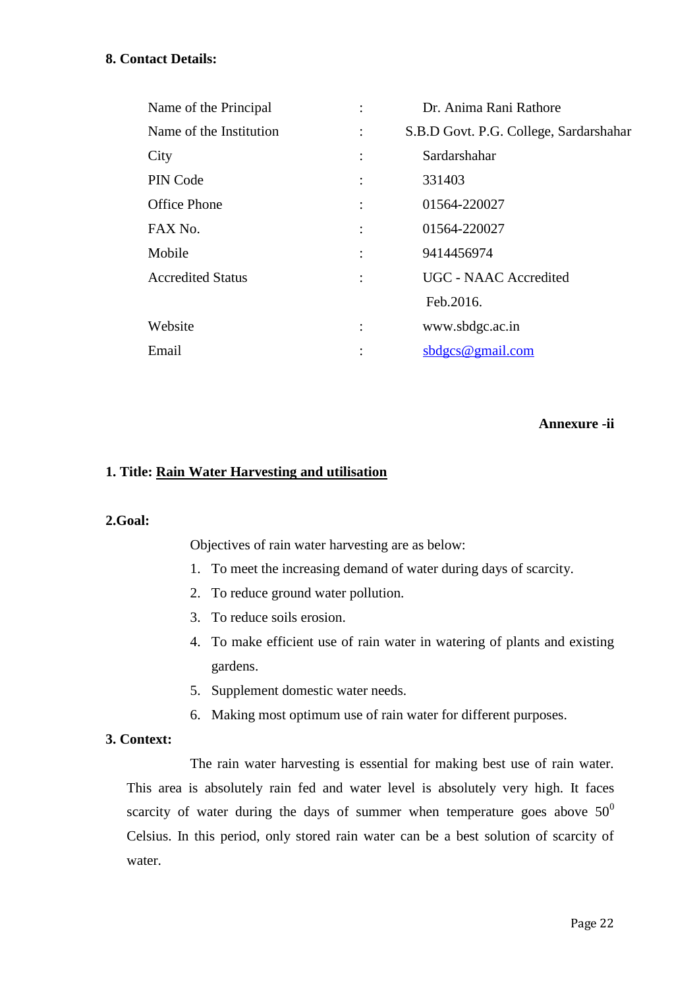## **8. Contact Details:**

| Name of the Principal    |                | Dr. Anima Rani Rathore                 |
|--------------------------|----------------|----------------------------------------|
| Name of the Institution  |                | S.B.D Govt. P.G. College, Sardarshahar |
| City                     | $\ddot{\cdot}$ | Sardarshahar                           |
| PIN Code                 | $\ddot{\cdot}$ | 331403                                 |
| <b>Office Phone</b>      | $\ddot{\cdot}$ | 01564-220027                           |
| FAX No.                  | $\ddot{\cdot}$ | 01564-220027                           |
| Mobile                   | $\ddot{\cdot}$ | 9414456974                             |
| <b>Accredited Status</b> | $\ddot{\cdot}$ | UGC - NAAC Accredited                  |
|                          |                | Feb.2016.                              |
| Website                  |                | www.sbdgc.ac.in                        |
| Email                    | ٠              | sdges@gmail.com                        |

### **Annexure -ii**

### **1. Title: Rain Water Harvesting and utilisation**

#### **2.Goal:**

Objectives of rain water harvesting are as below:

- 1. To meet the increasing demand of water during days of scarcity.
- 2. To reduce ground water pollution.
- 3. To reduce soils erosion.
- 4. To make efficient use of rain water in watering of plants and existing gardens.
- 5. Supplement domestic water needs.
- 6. Making most optimum use of rain water for different purposes.

### **3. Context:**

The rain water harvesting is essential for making best use of rain water. This area is absolutely rain fed and water level is absolutely very high. It faces scarcity of water during the days of summer when temperature goes above  $50^0$ Celsius. In this period, only stored rain water can be a best solution of scarcity of water.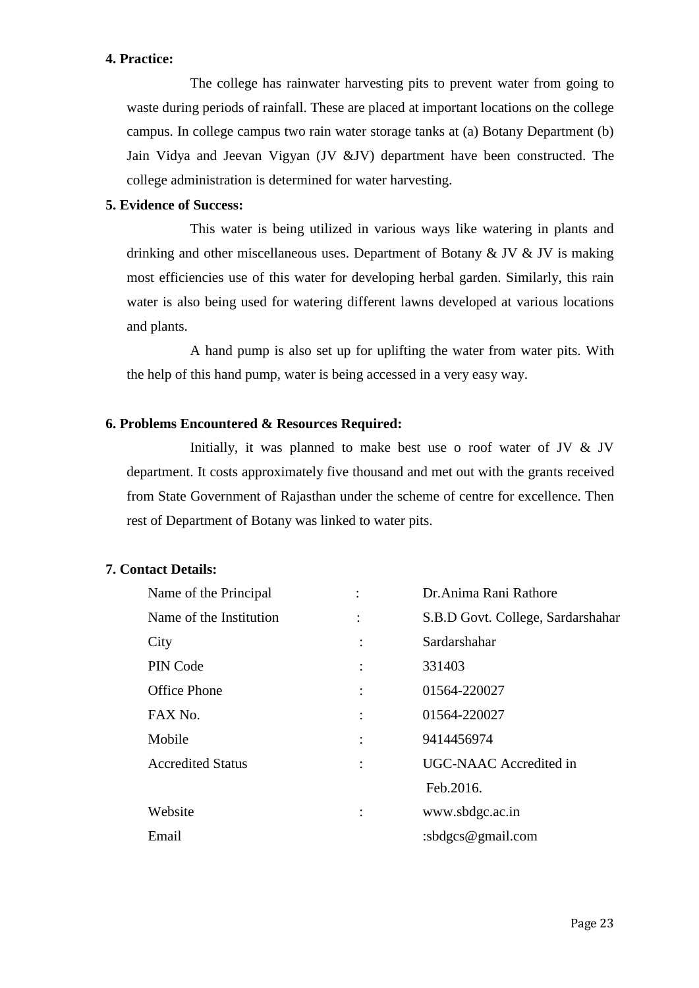## **4. Practice:**

The college has rainwater harvesting pits to prevent water from going to waste during periods of rainfall. These are placed at important locations on the college campus. In college campus two rain water storage tanks at (a) Botany Department (b) Jain Vidya and Jeevan Vigyan (JV &JV) department have been constructed. The college administration is determined for water harvesting.

## **5. Evidence of Success:**

This water is being utilized in various ways like watering in plants and drinking and other miscellaneous uses. Department of Botany  $&$  JV  $&$  JV is making most efficiencies use of this water for developing herbal garden. Similarly, this rain water is also being used for watering different lawns developed at various locations and plants.

A hand pump is also set up for uplifting the water from water pits. With the help of this hand pump, water is being accessed in a very easy way.

### **6. Problems Encountered & Resources Required:**

Initially, it was planned to make best use o roof water of JV & JV department. It costs approximately five thousand and met out with the grants received from State Government of Rajasthan under the scheme of centre for excellence. Then rest of Department of Botany was linked to water pits.

### **7. Contact Details:**

| Name of the Principal    |                | Dr. Anima Rani Rathore            |
|--------------------------|----------------|-----------------------------------|
| Name of the Institution  | $\ddot{\cdot}$ | S.B.D Govt. College, Sardarshahar |
| City                     |                | Sardarshahar                      |
| PIN Code                 |                | 331403                            |
| <b>Office Phone</b>      |                | 01564-220027                      |
| FAX No.                  |                | 01564-220027                      |
| Mobile                   |                | 9414456974                        |
| <b>Accredited Status</b> |                | UGC-NAAC Accredited in            |
|                          |                | Feb.2016.                         |
| Website                  |                | www.sbdgc.ac.in                   |
| Email                    |                | : sbdgcs@gmail.com                |